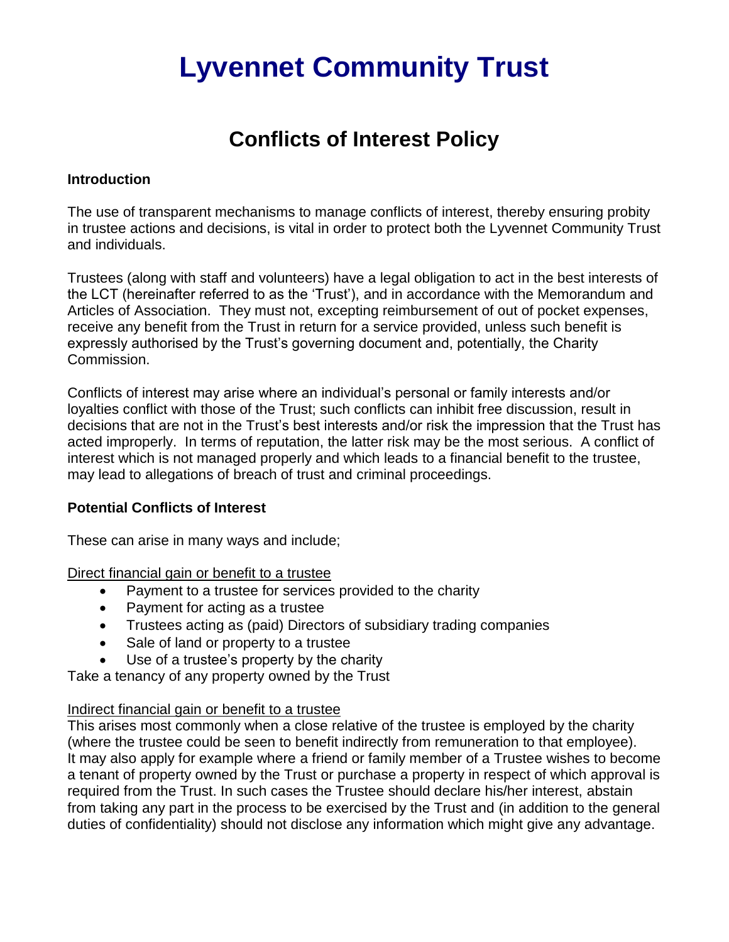# **Lyvennet Community Trust**

## **Conflicts of Interest Policy**

#### **Introduction**

The use of transparent mechanisms to manage conflicts of interest, thereby ensuring probity in trustee actions and decisions, is vital in order to protect both the Lyvennet Community Trust and individuals.

Trustees (along with staff and volunteers) have a legal obligation to act in the best interests of the LCT (hereinafter referred to as the 'Trust'), and in accordance with the Memorandum and Articles of Association. They must not, excepting reimbursement of out of pocket expenses, receive any benefit from the Trust in return for a service provided, unless such benefit is expressly authorised by the Trust's governing document and, potentially, the Charity Commission.

Conflicts of interest may arise where an individual's personal or family interests and/or loyalties conflict with those of the Trust; such conflicts can inhibit free discussion, result in decisions that are not in the Trust's best interests and/or risk the impression that the Trust has acted improperly. In terms of reputation, the latter risk may be the most serious. A conflict of interest which is not managed properly and which leads to a financial benefit to the trustee, may lead to allegations of breach of trust and criminal proceedings.

#### **Potential Conflicts of Interest**

These can arise in many ways and include;

Direct financial gain or benefit to a trustee

- Payment to a trustee for services provided to the charity
- Payment for acting as a trustee
- Trustees acting as (paid) Directors of subsidiary trading companies
- Sale of land or property to a trustee
- Use of a trustee's property by the charity

Take a tenancy of any property owned by the Trust

### Indirect financial gain or benefit to a trustee

This arises most commonly when a close relative of the trustee is employed by the charity (where the trustee could be seen to benefit indirectly from remuneration to that employee). It may also apply for example where a friend or family member of a Trustee wishes to become a tenant of property owned by the Trust or purchase a property in respect of which approval is required from the Trust. In such cases the Trustee should declare his/her interest, abstain from taking any part in the process to be exercised by the Trust and (in addition to the general duties of confidentiality) should not disclose any information which might give any advantage.